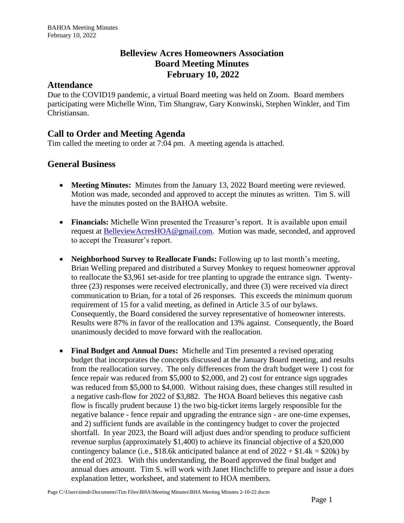# **Belleview Acres Homeowners Association Board Meeting Minutes February 10, 2022**

#### **Attendance**

Due to the COVID19 pandemic, a virtual Board meeting was held on Zoom. Board members participating were Michelle Winn, Tim Shangraw, Gary Konwinski, Stephen Winkler, and Tim Christiansan.

# **Call to Order and Meeting Agenda**

Tim called the meeting to order at 7:04 pm. A meeting agenda is attached.

### **General Business**

- **Meeting Minutes:** Minutes from the January 13, 2022 Board meeting were reviewed. Motion was made, seconded and approved to accept the minutes as written. Tim S. will have the minutes posted on the BAHOA website.
- **Financials:** Michelle Winn presented the Treasurer's report. It is available upon email request at **BelleviewAcresHOA@gmail.com.** Motion was made, seconded, and approved to accept the Treasurer's report.
- **Neighborhood Survey to Reallocate Funds:** Following up to last month's meeting, Brian Welling prepared and distributed a Survey Monkey to request homeowner approval to reallocate the \$3,961 set-aside for tree planting to upgrade the entrance sign. Twentythree (23) responses were received electronically, and three (3) were received via direct communication to Brian, for a total of 26 responses. This exceeds the minimum quorum requirement of 15 for a valid meeting, as defined in Article 3.5 of our bylaws. Consequently, the Board considered the survey representative of homeowner interests. Results were 87% in favor of the reallocation and 13% against. Consequently, the Board unanimously decided to move forward with the reallocation.
- **Final Budget and Annual Dues:** Michelle and Tim presented a revised operating budget that incorporates the concepts discussed at the January Board meeting, and results from the reallocation survey. The only differences from the draft budget were 1) cost for fence repair was reduced from \$5,000 to \$2,000, and 2) cost for entrance sign upgrades was reduced from \$5,000 to \$4,000. Without raising dues, these changes still resulted in a negative cash-flow for 2022 of \$3,882. The HOA Board believes this negative cash flow is fiscally prudent because 1) the two big-ticket items largely responsible for the negative balance - fence repair and upgrading the entrance sign - are one-time expenses, and 2) sufficient funds are available in the contingency budget to cover the projected shortfall. In year 2023, the Board will adjust dues and/or spending to produce sufficient revenue surplus (approximately \$1,400) to achieve its financial objective of a \$20,000 contingency balance (i.e., \$18.6k anticipated balance at end of  $2022 + 1.4k = 20k$ ) by the end of 2023. With this understanding, the Board approved the final budget and annual dues amount. Tim S. will work with Janet Hinchcliffe to prepare and issue a dues explanation letter, worksheet, and statement to HOA members.